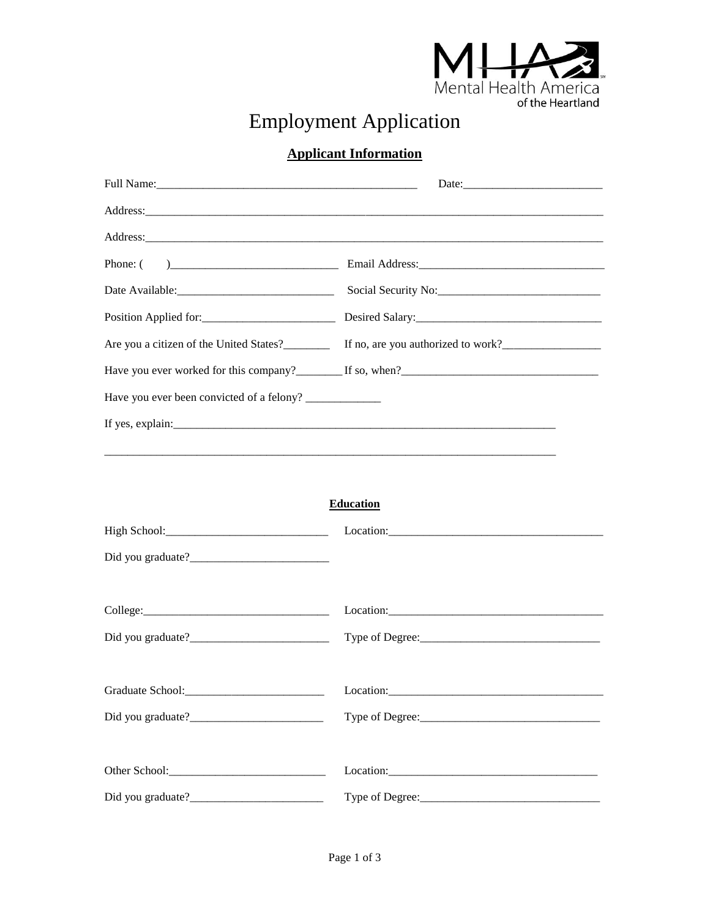

## **Employment Application**

## **Applicant Information**

| <b>Education</b> |           |  |
|------------------|-----------|--|
|                  |           |  |
|                  |           |  |
|                  |           |  |
|                  |           |  |
|                  |           |  |
|                  |           |  |
|                  | Location: |  |
|                  |           |  |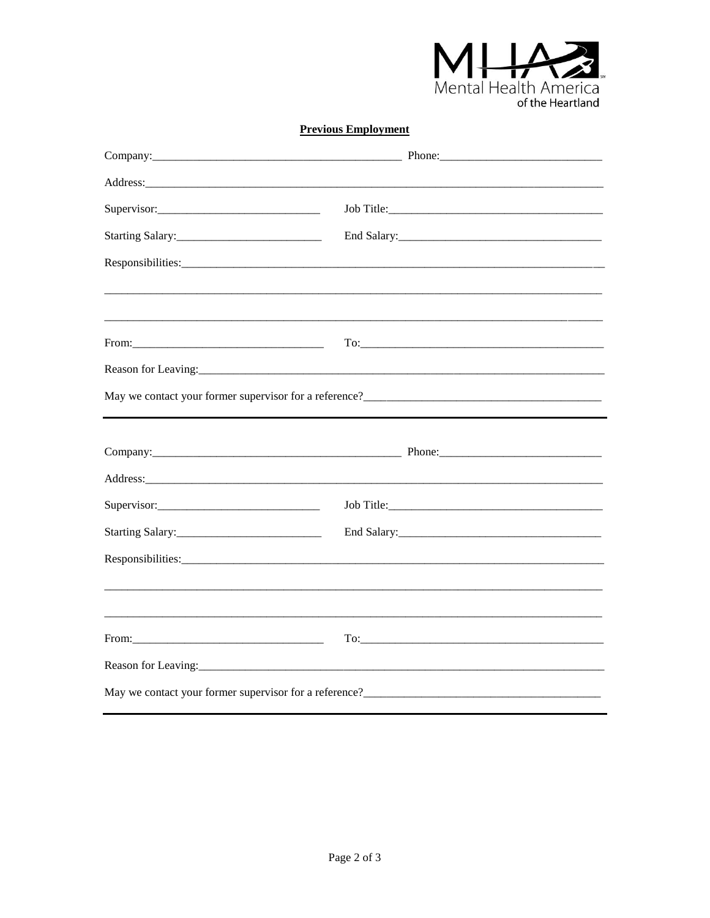

## **Previous Employment**

| Reason for Leaving: 2008 and 2008 and 2008 and 2008 and 2008 and 2008 and 2008 and 2008 and 2008 and 2008 and 2008 and 2008 and 2008 and 2008 and 2008 and 2008 and 2008 and 2008 and 2008 and 2008 and 2008 and 2008 and 2008 |                                                                    |
|--------------------------------------------------------------------------------------------------------------------------------------------------------------------------------------------------------------------------------|--------------------------------------------------------------------|
|                                                                                                                                                                                                                                |                                                                    |
|                                                                                                                                                                                                                                |                                                                    |
|                                                                                                                                                                                                                                |                                                                    |
|                                                                                                                                                                                                                                |                                                                    |
| Supervisor:                                                                                                                                                                                                                    |                                                                    |
|                                                                                                                                                                                                                                |                                                                    |
|                                                                                                                                                                                                                                |                                                                    |
|                                                                                                                                                                                                                                |                                                                    |
|                                                                                                                                                                                                                                |                                                                    |
|                                                                                                                                                                                                                                |                                                                    |
|                                                                                                                                                                                                                                | May we contact your former supervisor for a reference?<br><u> </u> |